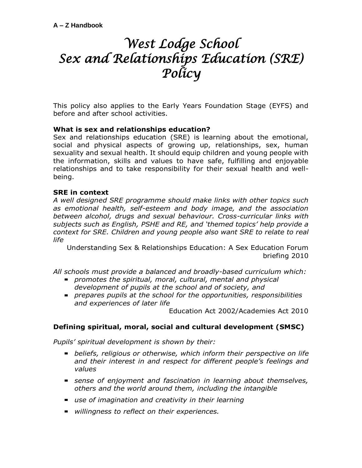# *West Lodge School Sex and Relationships Education (SRE) Policy*

This policy also applies to the Early Years Foundation Stage (EYFS) and before and after school activities.

# **What is sex and relationships education?**

Sex and relationships education (SRE) is learning about the emotional, social and physical aspects of growing up, relationships, sex, human sexuality and sexual health. It should equip children and young people with the information, skills and values to have safe, fulfilling and enjoyable relationships and to take responsibility for their sexual health and wellbeing.

# **SRE in context**

*A well designed SRE programme should make links with other topics such as emotional health, self-esteem and body image, and the association between alcohol, drugs and sexual behaviour. Cross-curricular links with subjects such as English, PSHE and RE, and 'themed topics' help provide a context for SRE. Children and young people also want SRE to relate to real life* 

Understanding Sex & Relationships Education: A Sex Education Forum briefing 2010

*All schools must provide a balanced and broadly-based curriculum which:* 

- *promotes the spiritual, moral, cultural, mental and physical development of pupils at the school and of society, and*
- *prepares pupils at the school for the opportunities, responsibilities and experiences of later life*

Education Act 2002/Academies Act 2010

# **Defining spiritual, moral, social and cultural development (SMSC)**

*Pupils' spiritual development is shown by their:* 

- *beliefs, religious or otherwise, which inform their perspective on life and their interest in and respect for different people's feelings and values*
- *sense of enjoyment and fascination in learning about themselves, others and the world around them, including the intangible*
- *use of imagination and creativity in their learning*
- *willingness to reflect on their experiences.*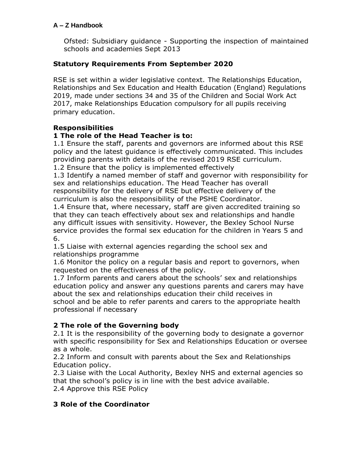Ofsted: Subsidiary guidance - Supporting the inspection of maintained schools and academies Sept 2013

# **Statutory Requirements From September 2020**

RSE is set within a wider legislative context*.* The Relationships Education, Relationships and Sex Education and Health Education (England) Regulations 2019, made under sections 34 and 35 of the Children and Social Work Act 2017, make Relationships Education compulsory for all pupils receiving primary education.

# **Responsibilities**

# **1 The role of the Head Teacher is to:**

1.1 Ensure the staff, parents and governors are informed about this RSE policy and the latest guidance is effectively communicated. This includes providing parents with details of the revised 2019 RSE curriculum.

1.2 Ensure that the policy is implemented effectively

1.3 Identify a named member of staff and governor with responsibility for sex and relationships education. The Head Teacher has overall responsibility for the delivery of RSE but effective delivery of the curriculum is also the responsibility of the PSHE Coordinator.

1.4 Ensure that, where necessary, staff are given accredited training so that they can teach effectively about sex and relationships and handle any difficult issues with sensitivity. However, the Bexley School Nurse service provides the formal sex education for the children in Years 5 and 6.

1.5 Liaise with external agencies regarding the school sex and relationships programme

1.6 Monitor the policy on a regular basis and report to governors, when requested on the effectiveness of the policy.

1.7 Inform parents and carers about the schools' sex and relationships education policy and answer any questions parents and carers may have about the sex and relationships education their child receives in school and be able to refer parents and carers to the appropriate health professional if necessary

# **2 The role of the Governing body**

2.1 It is the responsibility of the governing body to designate a governor with specific responsibility for Sex and Relationships Education or oversee as a whole.

2.2 Inform and consult with parents about the Sex and Relationships Education policy.

2.3 Liaise with the Local Authority, Bexley NHS and external agencies so that the school's policy is in line with the best advice available. 2.4 Approve this RSE Policy

# **3 Role of the Coordinator**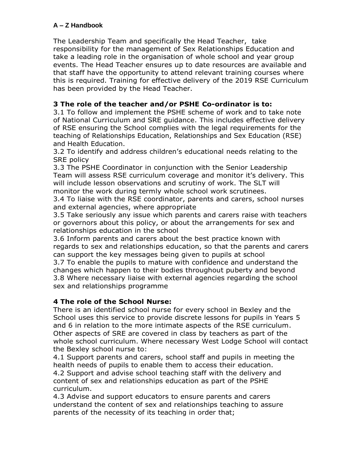The Leadership Team and specifically the Head Teacher, take responsibility for the management of Sex Relationships Education and take a leading role in the organisation of whole school and year group events. The Head Teacher ensures up to date resources are available and that staff have the opportunity to attend relevant training courses where this is required. Training for effective delivery of the 2019 RSE Curriculum has been provided by the Head Teacher.

# **3 The role of the teacher and/or PSHE Co-ordinator is to:**

3.1 To follow and implement the PSHE scheme of work and to take note of National Curriculum and SRE guidance. This includes effective delivery of RSE ensuring the School complies with the legal requirements for the teaching of Relationships Education, Relationships and Sex Education (RSE) and Health Education.

3.2 To identify and address children's educational needs relating to the SRE policy

3.3 The PSHE Coordinator in conjunction with the Senior Leadership Team will assess RSE curriculum coverage and monitor it's delivery. This will include lesson observations and scrutiny of work. The SLT will monitor the work during termly whole school work scrutinees.

3.4 To liaise with the RSE coordinator, parents and carers, school nurses and external agencies, where appropriate

3.5 Take seriously any issue which parents and carers raise with teachers or governors about this policy, or about the arrangements for sex and relationships education in the school

3.6 Inform parents and carers about the best practice known with regards to sex and relationships education, so that the parents and carers can support the key messages being given to pupils at school

3.7 To enable the pupils to mature with confidence and understand the changes which happen to their bodies throughout puberty and beyond 3.8 Where necessary liaise with external agencies regarding the school sex and relationships programme

# **4 The role of the School Nurse:**

There is an identified school nurse for every school in Bexley and the School uses this service to provide discrete lessons for pupils in Years 5 and 6 in relation to the more intimate aspects of the RSE curriculum. Other aspects of SRE are covered in class by teachers as part of the whole school curriculum. Where necessary West Lodge School will contact the Bexley school nurse to:

4.1 Support parents and carers, school staff and pupils in meeting the health needs of pupils to enable them to access their education. 4.2 Support and advise school teaching staff with the delivery and content of sex and relationships education as part of the PSHE curriculum.

4.3 Advise and support educators to ensure parents and carers understand the content of sex and relationships teaching to assure parents of the necessity of its teaching in order that;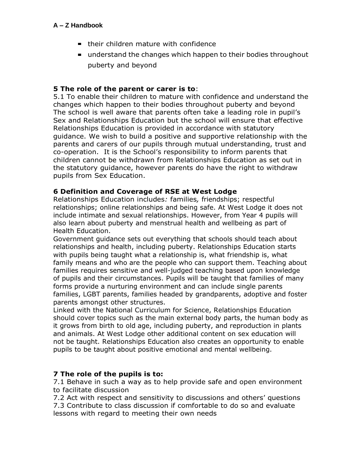- **their children mature with confidence**
- understand the changes which happen to their bodies throughout puberty and beyond

# **5 The role of the parent or carer is to**:

5.1 To enable their children to mature with confidence and understand the changes which happen to their bodies throughout puberty and beyond The school is well aware that parents often take a leading role in pupil's Sex and Relationships Education but the school will ensure that effective Relationships Education is provided in accordance with statutory guidance. We wish to build a positive and supportive relationship with the parents and carers of our pupils through mutual understanding, trust and co-operation. It is the School's responsibility to inform parents that children cannot be withdrawn from Relationships Education as set out in the statutory guidance, however parents do have the right to withdraw pupils from Sex Education.

# **6 Definition and Coverage of RSE at West Lodge**

Relationships Education includes*:* families*,* friendships; respectful relationships; online relationships and being safe. At West Lodge it does not include intimate and sexual relationships. However, from Year 4 pupils will also learn about puberty and menstrual health and wellbeing as part of Health Education.

Government guidance sets out everything that schools should teach about relationships and health, including puberty. Relationships Education starts with pupils being taught what a relationship is, what friendship is, what family means and who are the people who can support them. Teaching about families requires sensitive and well-judged teaching based upon knowledge of pupils and their circumstances. Pupils will be taught that families of many forms provide a nurturing environment and can include single parents families, LGBT parents, families headed by grandparents, adoptive and foster parents amongst other structures.

Linked with the National Curriculum for Science, Relationships Education should cover topics such as the main external body parts, the human body as it grows from birth to old age, including puberty, and reproduction in plants and animals. At West Lodge other additional content on sex education will not be taught. Relationships Education also creates an opportunity to enable pupils to be taught about positive emotional and mental wellbeing.

# **7 The role of the pupils is to:**

7.1 Behave in such a way as to help provide safe and open environment to facilitate discussion

7.2 Act with respect and sensitivity to discussions and others' questions 7.3 Contribute to class discussion if comfortable to do so and evaluate lessons with regard to meeting their own needs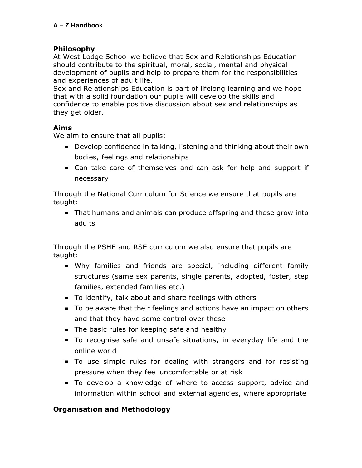# **Philosophy**

At West Lodge School we believe that Sex and Relationships Education should contribute to the spiritual, moral, social, mental and physical development of pupils and help to prepare them for the responsibilities and experiences of adult life.

Sex and Relationships Education is part of lifelong learning and we hope that with a solid foundation our pupils will develop the skills and confidence to enable positive discussion about sex and relationships as they get older.

# **Aims**

We aim to ensure that all pupils:

- Develop confidence in talking, listening and thinking about their own bodies, feelings and relationships
- Can take care of themselves and can ask for help and support if necessary

Through the National Curriculum for Science we ensure that pupils are taught:

That humans and animals can produce offspring and these grow into adults

Through the PSHE and RSE curriculum we also ensure that pupils are taught:

- Why families and friends are special, including different family structures (same sex parents, single parents, adopted, foster, step families, extended families etc.)
- To identify, talk about and share feelings with others
- To be aware that their feelings and actions have an impact on others and that they have some control over these
- The basic rules for keeping safe and healthy
- To recognise safe and unsafe situations, in everyday life and the online world
- To use simple rules for dealing with strangers and for resisting pressure when they feel uncomfortable or at risk
- To develop a knowledge of where to access support, advice and information within school and external agencies, where appropriate

# **Organisation and Methodology**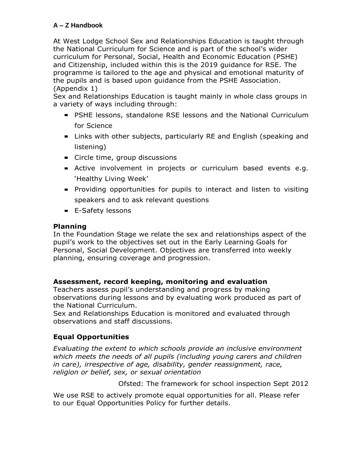At West Lodge School Sex and Relationships Education is taught through the National Curriculum for Science and is part of the school's wider curriculum for Personal, Social, Health and Economic Education (PSHE) and Citizenship, included within this is the 2019 guidance for RSE. The programme is tailored to the age and physical and emotional maturity of the pupils and is based upon guidance from the PSHE Association. (Appendix 1)

Sex and Relationships Education is taught mainly in whole class groups in a variety of ways including through:

- PSHE lessons, standalone RSE lessons and the National Curriculum for Science
- **E** Links with other subjects, particularly RE and English (speaking and listening)
- **EXECT** Circle time, group discussions
- Active involvement in projects or curriculum based events e.g. 'Healthy Living Week'
- **Providing opportunities for pupils to interact and listen to visiting** speakers and to ask relevant questions
- **E-Safety lessons**

## **Planning**

In the Foundation Stage we relate the sex and relationships aspect of the pupil's work to the objectives set out in the Early Learning Goals for Personal, Social Development. Objectives are transferred into weekly planning, ensuring coverage and progression.

## **Assessment, record keeping, monitoring and evaluation**

Teachers assess pupil's understanding and progress by making observations during lessons and by evaluating work produced as part of the National Curriculum.

Sex and Relationships Education is monitored and evaluated through observations and staff discussions.

# **Equal Opportunities**

*Evaluating the extent to which schools provide an inclusive environment which meets the needs of all pupils (including young carers and children in care), irrespective of age, disability, gender reassignment, race, religion or belief, sex, or sexual orientation*

Ofsted: The framework for school inspection Sept 2012

We use RSE to actively promote equal opportunities for all. Please refer to our Equal Opportunities Policy for further details.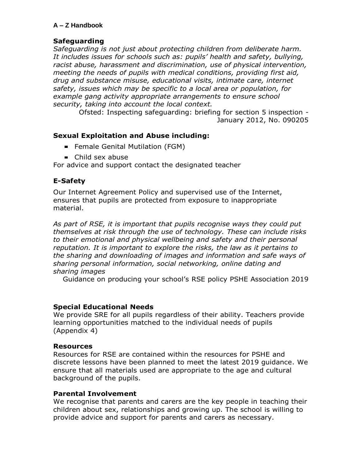## **Safeguarding**

*Safeguarding is not just about protecting children from deliberate harm. It includes issues for schools such as: pupils' health and safety, bullying, racist abuse, harassment and discrimination, use of physical intervention, meeting the needs of pupils with medical conditions, providing first aid, drug and substance misuse, educational visits, intimate care, internet safety, issues which may be specific to a local area or population, for example gang activity appropriate arrangements to ensure school security, taking into account the local context.*

> Ofsted: Inspecting safeguarding: briefing for section 5 inspection - January 2012, No. 090205

## **Sexual Exploitation and Abuse including:**

- **Female Genital Mutilation (FGM)**
- Child sex abuse

For advice and support contact the designated teacher

## **E-Safety**

Our Internet Agreement Policy and supervised use of the Internet, ensures that pupils are protected from exposure to inappropriate material.

*As part of RSE, it is important that pupils recognise ways they could put themselves at risk through the use of technology. These can include risks to their emotional and physical wellbeing and safety and their personal reputation. It is important to explore the risks, the law as it pertains to the sharing and downloading of images and information and safe ways of sharing personal information, social networking, online dating and sharing images* 

Guidance on producing your school's RSE policy PSHE Association 2019

## **Special Educational Needs**

We provide SRE for all pupils regardless of their ability. Teachers provide learning opportunities matched to the individual needs of pupils (Appendix 4)

#### **Resources**

Resources for RSE are contained within the resources for PSHE and discrete lessons have been planned to meet the latest 2019 guidance. We ensure that all materials used are appropriate to the age and cultural background of the pupils.

#### **Parental Involvement**

We recognise that parents and carers are the key people in teaching their children about sex, relationships and growing up. The school is willing to provide advice and support for parents and carers as necessary.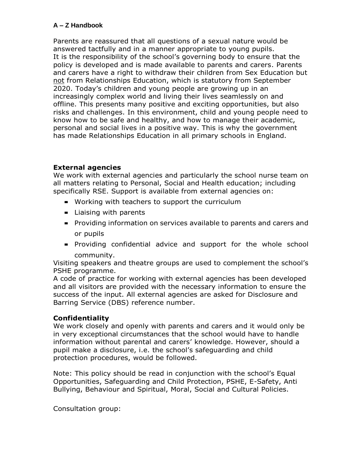Parents are reassured that all questions of a sexual nature would be answered tactfully and in a manner appropriate to young pupils. It is the responsibility of the school's governing body to ensure that the policy is developed and is made available to parents and carers. Parents and carers have a right to withdraw their children from Sex Education but not from Relationships Education, which is statutory from September 2020. Today's children and young people are growing up in an increasingly complex world and living their lives seamlessly on and offline. This presents many positive and exciting opportunities, but also risks and challenges. In this environment, child and young people need to know how to be safe and healthy, and how to manage their academic, personal and social lives in a positive way. This is why the government has made Relationships Education in all primary schools in England.

# **External agencies**

We work with external agencies and particularly the school nurse team on all matters relating to Personal, Social and Health education; including specifically RSE. Support is available from external agencies on:

- **Working with teachers to support the curriculum**
- **E** Liaising with parents
- Providing information on services available to parents and carers and or pupils
- Providing confidential advice and support for the whole school community.

Visiting speakers and theatre groups are used to complement the school's PSHE programme.

A code of practice for working with external agencies has been developed and all visitors are provided with the necessary information to ensure the success of the input. All external agencies are asked for Disclosure and Barring Service (DBS) reference number.

# **Confidentiality**

We work closely and openly with parents and carers and it would only be in very exceptional circumstances that the school would have to handle information without parental and carers' knowledge. However, should a pupil make a disclosure, i.e. the school's safeguarding and child protection procedures, would be followed.

Note: This policy should be read in conjunction with the school's Equal Opportunities, Safeguarding and Child Protection, PSHE, E-Safety, Anti Bullying, Behaviour and Spiritual, Moral, Social and Cultural Policies.

Consultation group: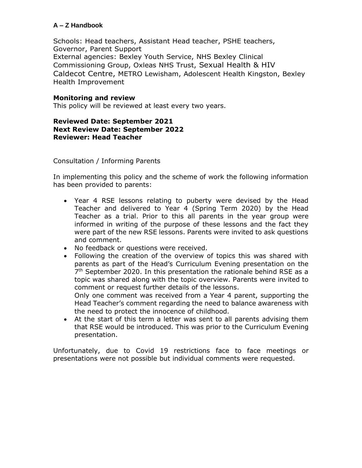Schools: Head teachers, Assistant Head teacher, PSHE teachers, Governor, Parent Support External agencies: Bexley Youth Service, NHS Bexley Clinical Commissioning Group, Oxleas NHS Trust, Sexual Health & HIV Caldecot Centre, METRO Lewisham, Adolescent Health Kingston, Bexley Health Improvement

## **Monitoring and review**

This policy will be reviewed at least every two years.

#### **Reviewed Date: September 2021 Next Review Date: September 2022 Reviewer: Head Teacher**

Consultation / Informing Parents

In implementing this policy and the scheme of work the following information has been provided to parents:

- Year 4 RSE lessons relating to puberty were devised by the Head Teacher and delivered to Year 4 (Spring Term 2020) by the Head Teacher as a trial. Prior to this all parents in the year group were informed in writing of the purpose of these lessons and the fact they were part of the new RSE lessons. Parents were invited to ask questions and comment.
- No feedback or questions were received.
- Following the creation of the overview of topics this was shared with parents as part of the Head's Curriculum Evening presentation on the 7<sup>th</sup> September 2020. In this presentation the rationale behind RSE as a topic was shared along with the topic overview. Parents were invited to comment or request further details of the lessons.

Only one comment was received from a Year 4 parent, supporting the Head Teacher's comment regarding the need to balance awareness with the need to protect the innocence of childhood.

• At the start of this term a letter was sent to all parents advising them that RSE would be introduced. This was prior to the Curriculum Evening presentation.

Unfortunately, due to Covid 19 restrictions face to face meetings or presentations were not possible but individual comments were requested.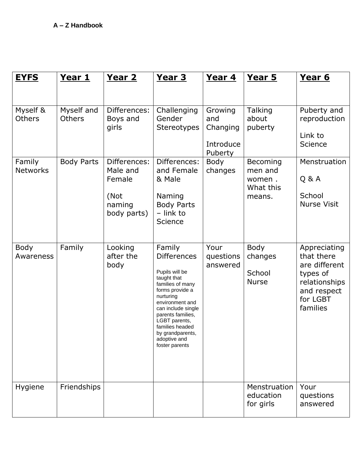| <b>EYFS</b>               | <u>Year 1</u>               | <u>Year 2</u>                                                       | <u>Year 3</u>                                                                                                                                                                                                                                                             | <u>Year 4</u>                                      | Year 5                                               | Year 6                                                                                                          |
|---------------------------|-----------------------------|---------------------------------------------------------------------|---------------------------------------------------------------------------------------------------------------------------------------------------------------------------------------------------------------------------------------------------------------------------|----------------------------------------------------|------------------------------------------------------|-----------------------------------------------------------------------------------------------------------------|
| Myself &<br><b>Others</b> | Myself and<br><b>Others</b> | Differences:<br>Boys and<br>girls                                   | Challenging<br>Gender<br><b>Stereotypes</b>                                                                                                                                                                                                                               | Growing<br>and<br>Changing<br>Introduce<br>Puberty | <b>Talking</b><br>about<br>puberty                   | Puberty and<br>reproduction<br>Link to<br>Science                                                               |
| Family<br><b>Networks</b> | <b>Body Parts</b>           | Differences:<br>Male and<br>Female<br>(Not<br>naming<br>body parts) | Differences:<br>and Female<br>& Male<br>Naming<br><b>Body Parts</b><br>- link to<br>Science                                                                                                                                                                               | Body<br>changes                                    | Becoming<br>men and<br>women.<br>What this<br>means. | Menstruation<br>Q & A<br>School<br><b>Nurse Visit</b>                                                           |
| Body<br>Awareness         | Family                      | Looking<br>after the<br>body                                        | Family<br><b>Differences</b><br>Pupils will be<br>taught that<br>families of many<br>forms provide a<br>nurturing<br>environment and<br>can include single<br>parents families,<br>LGBT parents,<br>families headed<br>by grandparents,<br>adoptive and<br>foster parents | Your<br>questions<br>answered                      | Body<br>changes<br>School<br><b>Nurse</b>            | Appreciating<br>that there<br>are different<br>types of<br>relationships<br>and respect<br>for LGBT<br>families |
| Hygiene                   | Friendships                 |                                                                     |                                                                                                                                                                                                                                                                           |                                                    | Menstruation<br>education<br>for girls               | Your<br>questions<br>answered                                                                                   |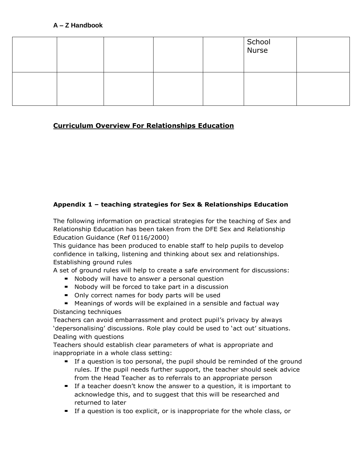|  |  | School<br>Nurse |  |
|--|--|-----------------|--|
|  |  |                 |  |

# **Curriculum Overview For Relationships Education**

# **Appendix 1 – teaching strategies for Sex & Relationships Education**

The following information on practical strategies for the teaching of Sex and Relationship Education has been taken from the DFE Sex and Relationship Education Guidance (Ref 0116/2000)

This guidance has been produced to enable staff to help pupils to develop confidence in talking, listening and thinking about sex and relationships. Establishing ground rules

A set of ground rules will help to create a safe environment for discussions:

- **Nobody will have to answer a personal question**
- Nobody will be forced to take part in a discussion
- Only correct names for body parts will be used

Meanings of words will be explained in a sensible and factual way Distancing techniques

Teachers can avoid embarrassment and protect pupil's privacy by always 'depersonalising' discussions. Role play could be used to 'act out' situations. Dealing with questions

Teachers should establish clear parameters of what is appropriate and inappropriate in a whole class setting:

- If a question is too personal, the pupil should be reminded of the ground rules. If the pupil needs further support, the teacher should seek advice from the Head Teacher as to referrals to an appropriate person
- If a teacher doesn't know the answer to a question, it is important to acknowledge this, and to suggest that this will be researched and returned to later
- If a question is too explicit, or is inappropriate for the whole class, or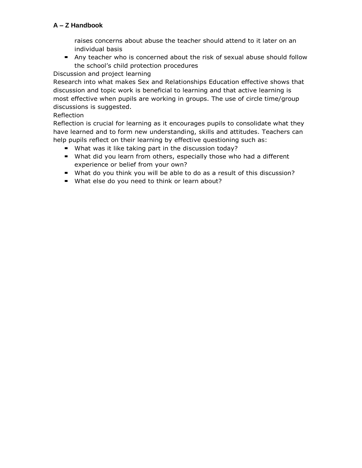raises concerns about abuse the teacher should attend to it later on an individual basis

Any teacher who is concerned about the risk of sexual abuse should follow the school's child protection procedures

Discussion and project learning

Research into what makes Sex and Relationships Education effective shows that discussion and topic work is beneficial to learning and that active learning is most effective when pupils are working in groups. The use of circle time/group discussions is suggested.

# Reflection

Reflection is crucial for learning as it encourages pupils to consolidate what they have learned and to form new understanding, skills and attitudes. Teachers can help pupils reflect on their learning by effective questioning such as:

- What was it like taking part in the discussion today?
- What did you learn from others, especially those who had a different experience or belief from your own?
- What do you think you will be able to do as a result of this discussion?
- **What else do you need to think or learn about?**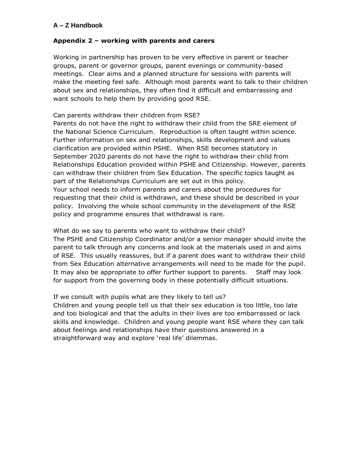#### **Appendix 2 – working with parents and carers**

Working in partnership has proven to be very effective in parent or teacher groups, parent or governor groups, parent evenings or community-based meetings. Clear aims and a planned structure for sessions with parents will make the meeting feel safe. Although most parents want to talk to their children about sex and relationships, they often find it difficult and embarrassing and want schools to help them by providing good RSE.

#### Can parents withdraw their children from RSE?

Parents do not have the right to withdraw their child from the SRE element of the National Science Curriculum. Reproduction is often taught within science. Further information on sex and relationships, skills development and values clarification are provided within PSHE. When RSE becomes statutory in September 2020 parents do not have the right to withdraw their child from Relationships Education provided within PSHE and Citizenship. However, parents can withdraw their children from Sex Education. The specific topics taught as part of the Relationships Curriculum are set out in this policy. Your school needs to inform parents and carers about the procedures for requesting that their child is withdrawn, and these should be described in your policy. Involving the whole school community in the development of the RSE policy and programme ensures that withdrawal is rare.

What do we say to parents who want to withdraw their child? The PSHE and Citizenship Coordinator and/or a senior manager should invite the parent to talk through any concerns and look at the materials used in and aims of RSE. This usually reassures, but if a parent does want to withdraw their child from Sex Education alternative arrangements will need to be made for the pupil. It may also be appropriate to offer further support to parents. Staff may look for support from the governing body in these potentially difficult situations.

#### If we consult with pupils what are they likely to tell us?

Children and young people tell us that their sex education is too little, too late and too biological and that the adults in their lives are too embarrassed or lack skills and knowledge. Children and young people want RSE where they can talk about feelings and relationships have their questions answered in a straightforward way and explore 'real life' dilemmas.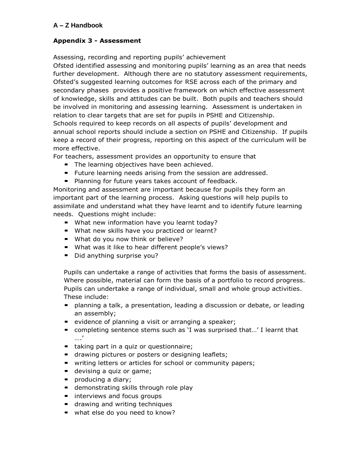## **Appendix 3 - Assessment**

Assessing, recording and reporting pupils' achievement

Ofsted identified assessing and monitoring pupils' learning as an area that needs further development. Although there are no statutory assessment requirements, Ofsted's suggested learning outcomes for RSE across each of the primary and secondary phases provides a positive framework on which effective assessment of knowledge, skills and attitudes can be built. Both pupils and teachers should be involved in monitoring and assessing learning. Assessment is undertaken in relation to clear targets that are set for pupils in PSHE and Citizenship. Schools required to keep records on all aspects of pupils' development and annual school reports should include a section on PSHE and Citizenship. If pupils keep a record of their progress, reporting on this aspect of the curriculum will be more effective.

For teachers, assessment provides an opportunity to ensure that

- The learning objectives have been achieved.
- **Future learning needs arising from the session are addressed.**
- **Planning for future years takes account of feedback.**

Monitoring and assessment are important because for pupils they form an important part of the learning process. Asking questions will help pupils to assimilate and understand what they have learnt and to identify future learning needs. Questions might include:

- **What new information have you learnt today?**
- What new skills have you practiced or learnt?
- What do you now think or believe?
- What was it like to hear different people's views?
- Did anything surprise you?

Pupils can undertake a range of activities that forms the basis of assessment. Where possible, material can form the basis of a portfolio to record progress. Pupils can undertake a range of individual, small and whole group activities. These include:

- planning a talk, a presentation, leading a discussion or debate, or leading an assembly;
- **•** evidence of planning a visit or arranging a speaker;
- completing sentence stems such as 'I was surprised that…' I learnt that ….'
- taking part in a quiz or questionnaire;
- **The drawing pictures or posters or designing leaflets;**
- writing letters or articles for school or community papers;
- **devising a quiz or game;**
- **P** producing a diary;
- **demonstrating skills through role play**
- **EXTENUMED INTER** interviews and focus groups
- $\blacksquare$  drawing and writing techniques
- what else do you need to know?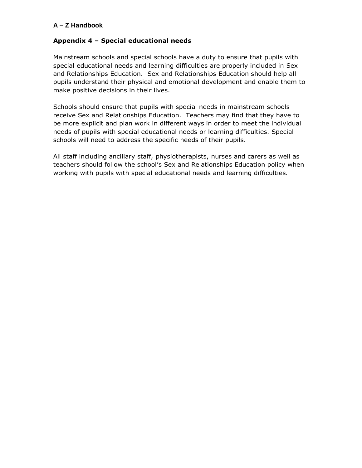#### **Appendix 4 – Special educational needs**

Mainstream schools and special schools have a duty to ensure that pupils with special educational needs and learning difficulties are properly included in Sex and Relationships Education. Sex and Relationships Education should help all pupils understand their physical and emotional development and enable them to make positive decisions in their lives.

Schools should ensure that pupils with special needs in mainstream schools receive Sex and Relationships Education. Teachers may find that they have to be more explicit and plan work in different ways in order to meet the individual needs of pupils with special educational needs or learning difficulties. Special schools will need to address the specific needs of their pupils.

All staff including ancillary staff, physiotherapists, nurses and carers as well as teachers should follow the school's Sex and Relationships Education policy when working with pupils with special educational needs and learning difficulties.